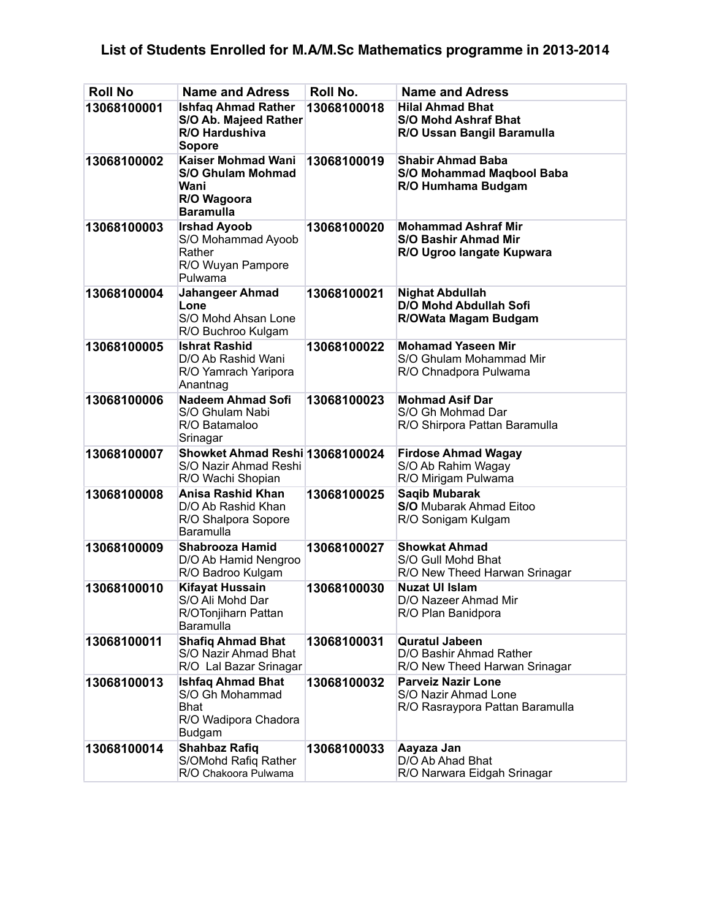## **List of Students Enrolled for M.A/M.Sc Mathematics programme in 2013-2014**

| <b>Roll No</b> | <b>Name and Adress</b>                                                                              | Roll No.    | <b>Name and Adress</b>                                                                 |
|----------------|-----------------------------------------------------------------------------------------------------|-------------|----------------------------------------------------------------------------------------|
| 13068100001    | <b>Ishfaq Ahmad Rather</b><br>S/O Ab. Majeed Rather<br>R/O Hardushiva<br><b>Sopore</b>              | 13068100018 | <b>Hilal Ahmad Bhat</b><br><b>S/O Mohd Ashraf Bhat</b><br>R/O Ussan Bangil Baramulla   |
| 13068100002    | <b>Kaiser Mohmad Wani</b><br><b>S/O Ghulam Mohmad</b><br>Wani<br>R/O Wagoora<br><b>Baramulla</b>    | 13068100019 | <b>Shabir Ahmad Baba</b><br><b>S/O Mohammad Maqbool Baba</b><br>R/O Humhama Budgam     |
| 13068100003    | <b>Irshad Ayoob</b><br>S/O Mohammad Ayoob<br>Rather<br>R/O Wuyan Pampore<br>Pulwama                 | 13068100020 | <b>Mohammad Ashraf Mir</b><br><b>S/O Bashir Ahmad Mir</b><br>R/O Ugroo langate Kupwara |
| 13068100004    | Jahangeer Ahmad<br>Lone<br>S/O Mohd Ahsan Lone<br>R/O Buchroo Kulgam                                | 13068100021 | <b>Nighat Abdullah</b><br><b>D/O Mohd Abdullah Sofi</b><br>R/OWata Magam Budgam        |
| 13068100005    | <b>Ishrat Rashid</b><br>D/O Ab Rashid Wani<br>R/O Yamrach Yaripora<br>Anantnag                      | 13068100022 | <b>Mohamad Yaseen Mir</b><br>S/O Ghulam Mohammad Mir<br>R/O Chnadpora Pulwama          |
| 13068100006    | <b>Nadeem Ahmad Sofi</b><br>S/O Ghulam Nabi<br>R/O Batamaloo<br>Srinagar                            | 13068100023 | <b>Mohmad Asif Dar</b><br>S/O Gh Mohmad Dar<br>R/O Shirpora Pattan Baramulla           |
| 13068100007    | Showket Ahmad Reshi 13068100024<br>S/O Nazir Ahmad Reshi<br>R/O Wachi Shopian                       |             | <b>Firdose Ahmad Wagay</b><br>S/O Ab Rahim Wagay<br>R/O Mirigam Pulwama                |
| 13068100008    | <b>Anisa Rashid Khan</b><br>D/O Ab Rashid Khan<br>R/O Shalpora Sopore<br>Baramulla                  | 13068100025 | <b>Sagib Mubarak</b><br><b>S/O</b> Mubarak Ahmad Eitoo<br>R/O Sonigam Kulgam           |
| 13068100009    | Shabrooza Hamid<br>D/O Ab Hamid Nengroo<br>R/O Badroo Kulgam                                        | 13068100027 | <b>Showkat Ahmad</b><br>S/O Gull Mohd Bhat<br>R/O New Theed Harwan Srinagar            |
| 13068100010    | <b>Kifayat Hussain</b><br>S/O Ali Mohd Dar<br>R/OTonjiharn Pattan<br>Baramulla                      | 13068100030 | <b>Nuzat UI Islam</b><br>D/O Nazeer Ahmad Mir<br>R/O Plan Banidpora                    |
| 13068100011    | <b>Shafiq Ahmad Bhat</b><br>S/O Nazir Ahmad Bhat<br>R/O Lal Bazar Srinagar                          | 13068100031 | <b>Quratul Jabeen</b><br>D/O Bashir Ahmad Rather<br>R/O New Theed Harwan Srinagar      |
| 13068100013    | <b>Ishfaq Ahmad Bhat</b><br>S/O Gh Mohammad<br><b>Bhat</b><br>R/O Wadipora Chadora<br><b>Budgam</b> | 13068100032 | <b>Parveiz Nazir Lone</b><br>S/O Nazir Ahmad Lone<br>R/O Rasraypora Pattan Baramulla   |
| 13068100014    | <b>Shahbaz Rafiq</b><br>S/OMohd Rafiq Rather<br>R/O Chakoora Pulwama                                | 13068100033 | Aayaza Jan<br>D/O Ab Ahad Bhat<br>R/O Narwara Eidgah Srinagar                          |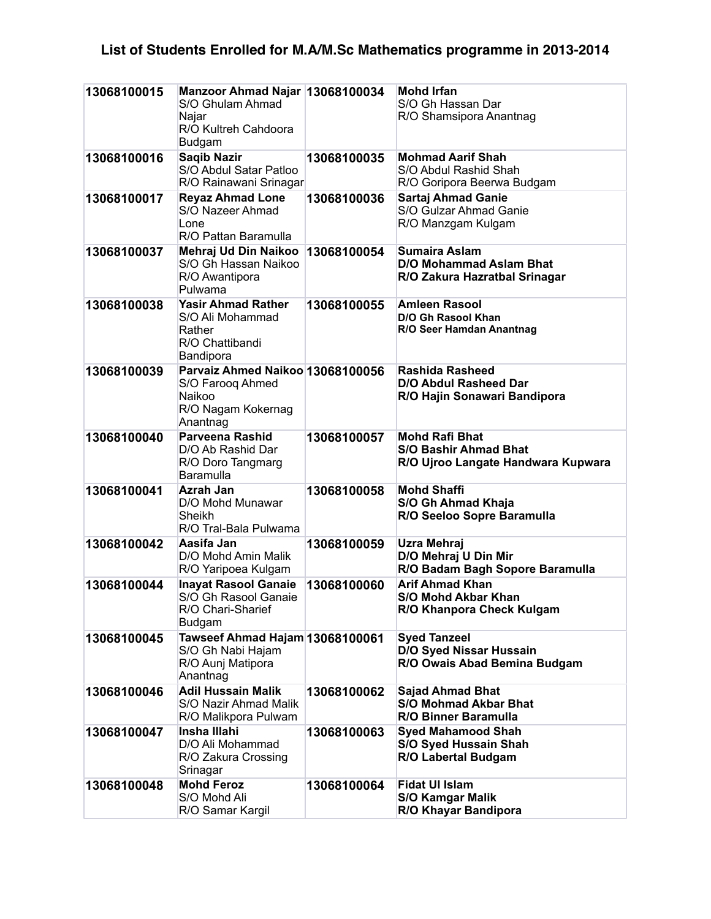## **List of Students Enrolled for M.A/M.Sc Mathematics programme in 2013-2014**

| 13068100015 | Manzoor Ahmad Najar 13068100034<br>S/O Ghulam Ahmad<br>Najar<br>R/O Kultreh Cahdoora<br>Budgam   |             | <b>Mohd Irfan</b><br>S/O Gh Hassan Dar<br>R/O Shamsipora Anantnag                           |
|-------------|--------------------------------------------------------------------------------------------------|-------------|---------------------------------------------------------------------------------------------|
| 13068100016 | <b>Saqib Nazir</b><br>S/O Abdul Satar Patloo<br>R/O Rainawani Srinagar                           | 13068100035 | <b>Mohmad Aarif Shah</b><br>S/O Abdul Rashid Shah<br>R/O Goripora Beerwa Budgam             |
| 13068100017 | <b>Reyaz Ahmad Lone</b><br>S/O Nazeer Ahmad<br>Lone<br>R/O Pattan Baramulla                      | 13068100036 | Sartaj Ahmad Ganie<br>S/O Gulzar Ahmad Ganie<br>R/O Manzgam Kulgam                          |
| 13068100037 | Mehraj Ud Din Naikoo<br>S/O Gh Hassan Naikoo<br>R/O Awantipora<br>Pulwama                        | 13068100054 | <b>Sumaira Aslam</b><br><b>D/O Mohammad Aslam Bhat</b><br>R/O Zakura Hazratbal Srinagar     |
| 13068100038 | <b>Yasir Ahmad Rather</b><br>S/O Ali Mohammad<br>Rather<br>R/O Chattibandi<br>Bandipora          | 13068100055 | <b>Amleen Rasool</b><br>D/O Gh Rasool Khan<br>R/O Seer Hamdan Anantnag                      |
| 13068100039 | Parvaiz Ahmed Naikoo 13068100056<br>S/O Faroog Ahmed<br>Naikoo<br>R/O Nagam Kokernag<br>Anantnag |             | <b>Rashida Rasheed</b><br><b>D/O Abdul Rasheed Dar</b><br>R/O Hajin Sonawari Bandipora      |
| 13068100040 | <b>Parveena Rashid</b><br>D/O Ab Rashid Dar<br>R/O Doro Tangmarg<br>Baramulla                    | 13068100057 | <b>Mohd Rafi Bhat</b><br><b>S/O Bashir Ahmad Bhat</b><br>R/O Ujroo Langate Handwara Kupwara |
| 13068100041 | Azrah Jan<br>D/O Mohd Munawar<br>Sheikh<br>R/O Tral-Bala Pulwama                                 | 13068100058 | <b>Mohd Shaffi</b><br>S/O Gh Ahmad Khaja<br>R/O Seeloo Sopre Baramulla                      |
| 13068100042 | Aasifa Jan<br>D/O Mohd Amin Malik<br>R/O Yaripoea Kulgam                                         | 13068100059 | Uzra Mehraj<br>D/O Mehraj U Din Mir<br>R/O Badam Bagh Sopore Baramulla                      |
| 13068100044 | <b>Inayat Rasool Ganaie</b><br>S/O Gh Rasool Ganaie<br>R/O Chari-Sharief<br><b>Budgam</b>        | 13068100060 | <b>Arif Ahmad Khan</b><br><b>S/O Mohd Akbar Khan</b><br>R/O Khanpora Check Kulgam           |
| 13068100045 | Tawseef Ahmad Hajam 13068100061<br>S/O Gh Nabi Hajam<br>R/O Aunj Matipora<br>Anantnag            |             | <b>Syed Tanzeel</b><br><b>D/O Syed Nissar Hussain</b><br>R/O Owais Abad Bemina Budgam       |
| 13068100046 | <b>Adil Hussain Malik</b><br>S/O Nazir Ahmad Malik<br>R/O Malikpora Pulwam                       | 13068100062 | <b>Sajad Ahmad Bhat</b><br><b>S/O Mohmad Akbar Bhat</b><br>R/O Binner Baramulla             |
| 13068100047 | Insha Illahi<br>D/O Ali Mohammad<br>R/O Zakura Crossing<br>Srinagar                              | 13068100063 | <b>Syed Mahamood Shah</b><br>S/O Syed Hussain Shah<br>R/O Labertal Budgam                   |
| 13068100048 | <b>Mohd Feroz</b><br>S/O Mohd Ali<br>R/O Samar Kargil                                            | 13068100064 | <b>Fidat UI Islam</b><br><b>S/O Kamgar Malik</b><br>R/O Khayar Bandipora                    |